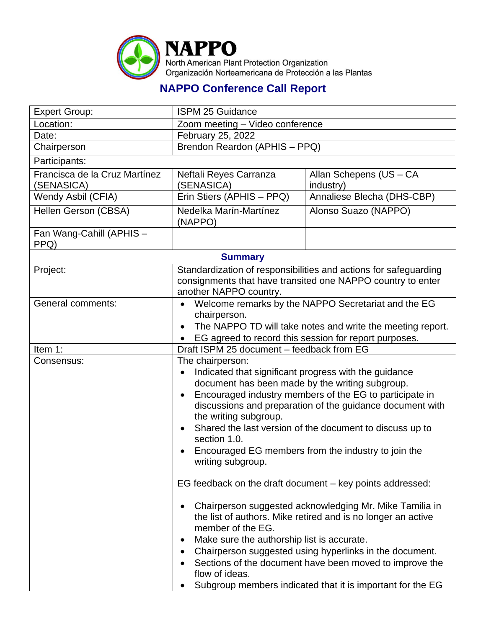

## **NAPPO Conference Call Report**

| <b>Expert Group:</b>                        | <b>ISPM 25 Guidance</b>                                                                                                                                                                                                                                                                                                                                                                                                                                       |                                      |  |  |
|---------------------------------------------|---------------------------------------------------------------------------------------------------------------------------------------------------------------------------------------------------------------------------------------------------------------------------------------------------------------------------------------------------------------------------------------------------------------------------------------------------------------|--------------------------------------|--|--|
| Location:                                   | Zoom meeting - Video conference                                                                                                                                                                                                                                                                                                                                                                                                                               |                                      |  |  |
| Date:                                       | February 25, 2022                                                                                                                                                                                                                                                                                                                                                                                                                                             |                                      |  |  |
| Chairperson                                 | Brendon Reardon (APHIS - PPQ)                                                                                                                                                                                                                                                                                                                                                                                                                                 |                                      |  |  |
| Participants:                               |                                                                                                                                                                                                                                                                                                                                                                                                                                                               |                                      |  |  |
| Francisca de la Cruz Martínez<br>(SENASICA) | Neftali Reyes Carranza<br>(SENASICA)                                                                                                                                                                                                                                                                                                                                                                                                                          | Allan Schepens (US - CA<br>industry) |  |  |
| Wendy Asbil (CFIA)                          | Erin Stiers (APHIS - PPQ)                                                                                                                                                                                                                                                                                                                                                                                                                                     | Annaliese Blecha (DHS-CBP)           |  |  |
| Hellen Gerson (CBSA)                        | Nedelka Marín-Martínez<br>(NAPPO)                                                                                                                                                                                                                                                                                                                                                                                                                             | Alonso Suazo (NAPPO)                 |  |  |
| Fan Wang-Cahill (APHIS -<br>PPQ)            |                                                                                                                                                                                                                                                                                                                                                                                                                                                               |                                      |  |  |
| <b>Summary</b>                              |                                                                                                                                                                                                                                                                                                                                                                                                                                                               |                                      |  |  |
| Project:                                    | Standardization of responsibilities and actions for safeguarding<br>consignments that have transited one NAPPO country to enter<br>another NAPPO country.                                                                                                                                                                                                                                                                                                     |                                      |  |  |
| <b>General comments:</b>                    | Welcome remarks by the NAPPO Secretariat and the EG<br>chairperson.<br>The NAPPO TD will take notes and write the meeting report.<br>EG agreed to record this session for report purposes.                                                                                                                                                                                                                                                                    |                                      |  |  |
| Item 1:                                     | Draft ISPM 25 document - feedback from EG                                                                                                                                                                                                                                                                                                                                                                                                                     |                                      |  |  |
| Consensus:                                  | The chairperson:<br>Indicated that significant progress with the guidance<br>document has been made by the writing subgroup.<br>Encouraged industry members of the EG to participate in<br>discussions and preparation of the guidance document with<br>the writing subgroup.<br>Shared the last version of the document to discuss up to<br>section 1.0.<br>Encouraged EG members from the industry to join the<br>writing subgroup.                         |                                      |  |  |
|                                             | EG feedback on the draft document – key points addressed:<br>Chairperson suggested acknowledging Mr. Mike Tamilia in<br>the list of authors. Mike retired and is no longer an active<br>member of the EG.<br>Make sure the authorship list is accurate.<br>Chairperson suggested using hyperlinks in the document.<br>Sections of the document have been moved to improve the<br>flow of ideas.<br>Subgroup members indicated that it is important for the EG |                                      |  |  |
|                                             |                                                                                                                                                                                                                                                                                                                                                                                                                                                               |                                      |  |  |